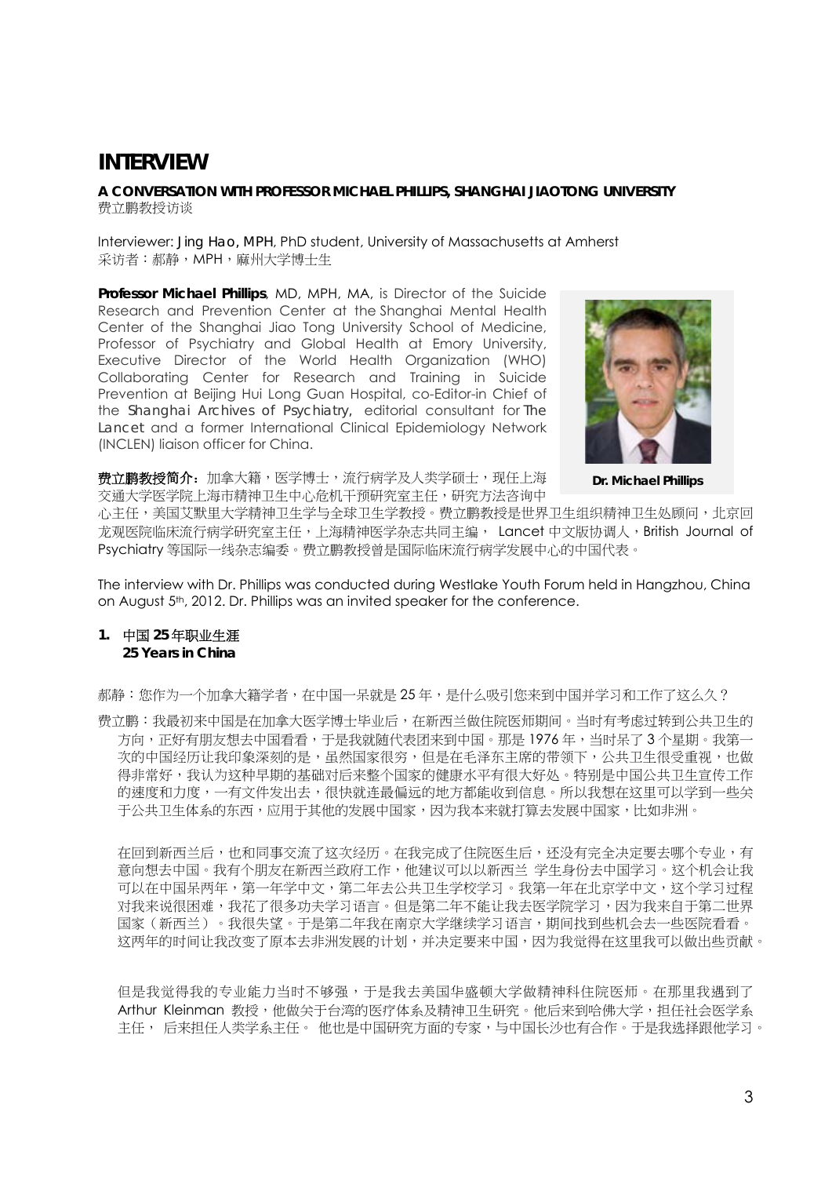# **INTERVIEW**

**A CONVERSATION WITH PROFESSOR MICHAEL PHILLIPS, SHANGHAI JIAOTONG UNIVERSITY**  费立鹏教授访谈

Interviewer: *Jing Hao, MPH*, PhD student, University of Massachusetts at Amherst 采访者:郝静,MPH,麻州大学博士生

**Professor Michael Phillips**, MD, MPH, MA, is Director of the Suicide Research and Prevention Center at the Shanghai Mental Health Center of the Shanghai Jiao Tong University School of Medicine, Professor of Psychiatry and Global Health at Emory University, Executive Director of the World Health Organization (WHO) Collaborating Center for Research and Training in Suicide Prevention at Beijing Hui Long Guan Hospital, co-Editor-in Chief of the *Shanghai Archives of Psychiatry,* editorial consultant for *The Lancet* and a former International Clinical Epidemiology Network (INCLEN) liaison officer for China.



**Dr. Michael Phillips** 

**费立鹏教授简介:**加拿大籍,医学博士,流行病学及人类学硕士,现任上海 交通大学医学院上海市精神卫生中心危机干预研究室主任,研究方法咨询中

心主任,美国艾默里大学精神卫生学与全球卫生学教授。费立鹏教授是世界卫生组织精神卫生处顾问,北京回 龙观医院临床流行病学研究室主任,上海精神医学杂志共同主编, Lancet 中文版协调人, British Journal of Psychiatry 等国际一线杂志编委。费立鹏教授曾是国际临床流行病学发展中心的中国代表。

The interview with Dr. Phillips was conducted during Westlake Youth Forum held in Hangzhou, China on August 5th, 2012. Dr. Phillips was an invited speaker for the conference.

### **1.** 中国 **25** 年职业生涯 **25 Years in China**

郝静:您作为一个加拿大籍学者,在中国一呆就是25年,是什么吸引您来到中国并学习和工作了这么久?

费立鹏:我最初来中国是在加拿大医学博士毕业后,在新西兰做住院医师期间。当时有考虑过转到公共卫生的 方向,正好有朋友想去中国看看,于是我就随代表团来到中国。那是 1976 年,当时呆了 3 个星期。我第一 次的中国经历让我印象深刻的是,虽然国家很穷,但是在毛泽东主席的带领下,公共卫生很受重视,也做 得非常好,我认为这种早期的基础对后来整个国家的健康水平有很大好处。特别是中国公共卫生宣传工作 的速度和力度,一有文件发出去,很快就连最偏远的地方都能收到信息。所以我想在这里可以学到一些关 于公共卫生体系的东西,应用于其他的发展中国家,因为我本来就打算去发展中国家,比如非洲。

在回到新西兰后,也和同事交流了这次经历。在我完成了住院医生后,还没有完全决定要去哪个专业,有 意向想去中国。我有个朋友在新西兰政府工作,他建议可以以新西兰 学生身份去中国学习。这个机会让我 可以在中国呆两年,第一年学中文,第二年去公共卫生学校学习。我第一年在北京学中文,这个学习过程 对我来说很困难,我花了很多功夫学习语言。但是第二年不能让我去医学院学习,因为我来自于第二世界 国家(新西兰)。我很失望。于是第二年我在南京大学继续学习语言,期间找到些机会去一些医院看看。 这两年的时间让我改变了原本去非洲发展的计划,并决定要来中国,因为我觉得在这里我可以做出些贡献。

但是我觉得我的专业能力当时不够强,于是我去美国华盛顿大学做精神科住院医师。在那里我遇到了 Arthur Kleinman 教授,他做关于台湾的医疗体系及精神卫生研究。他后来到哈佛大学,担任社会医学系 主任, 后来担任人类学系主任。 他也是中国研究方面的专家,与中国长沙也有合作。于是我选择跟他学习。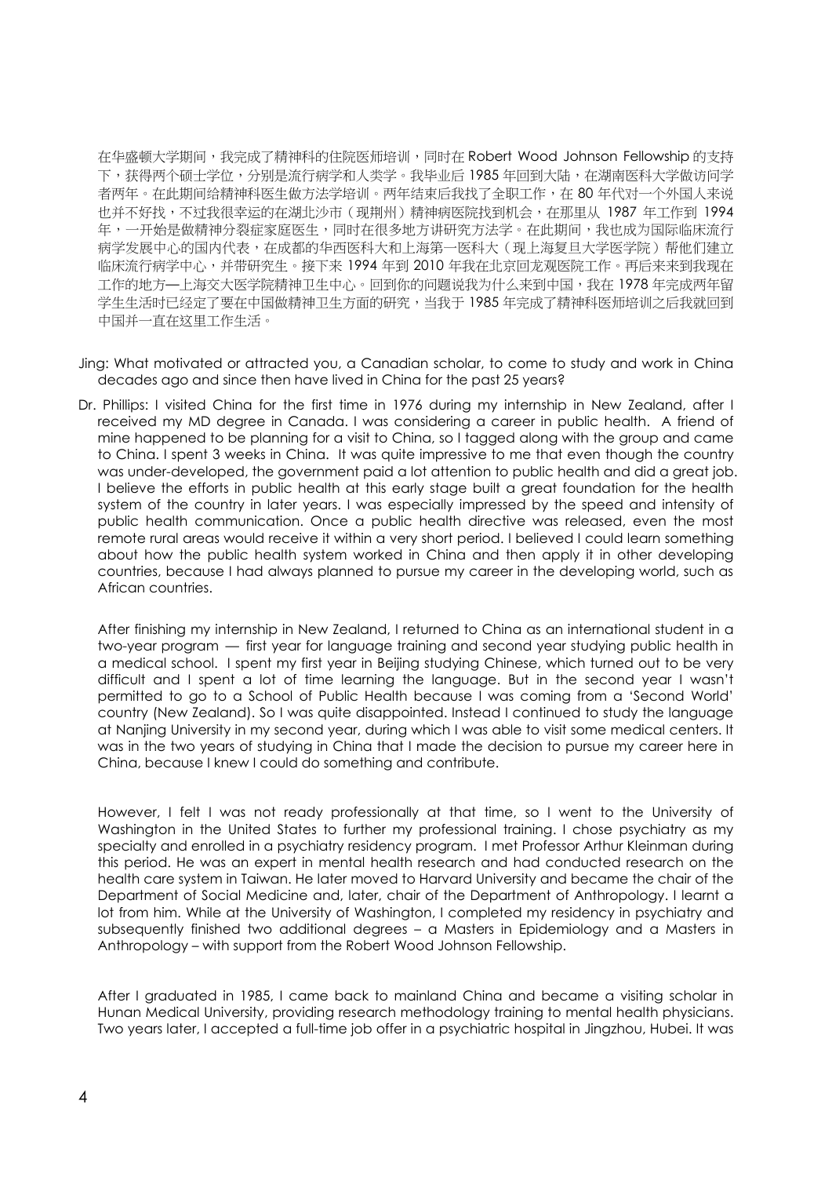在华盛顿大学期间,我完成了精神科的住院医师培训,同时在 Robert Wood Johnson Fellowship 的支持 下,获得两个硕士学位,分别是流行病学和人类学。我毕业后 1985 年回到大陆,在湖南医科大学做访问学 者两年。在此期间给精神科医生做方法学培训。两年结束后我找了全职工作,在 80 年代对一个外国人来说 也并不好找,不过我很幸运的在湖北沙市(现荆州)精神病医院找到机会,在那里从 1987 年工作到 1994 年,一开始是做精神分裂症家庭医生,同时在很多地方讲研究方法学。在此期间,我也成为国际临床流行 病学发展中心的国内代表,在成都的华西医科大和上海第一医科大(现上海复旦大学医学院)帮他们建立 临床流行病学中心,并带研究生。接下来 1994 年到 2010 年我在北京回龙观医院工作。再后来来到我现在 工作的地方—上海交大医学院精神卫生中心。回到你的问题说我为什么来到中国,我在 1978 年完成两年留 学生生活时已经定了要在中国做精神卫生方面的研究,当我于 1985 年完成了精神科医师培训之后我就回到 中国并一直在这里工作生活。

- Jing: What motivated or attracted you, a Canadian scholar, to come to study and work in China decades ago and since then have lived in China for the past 25 years?
- Dr. Phillips: I visited China for the first time in 1976 during my internship in New Zealand, after I received my MD degree in Canada. I was considering a career in public health. A friend of mine happened to be planning for a visit to China, so I tagged along with the group and came to China. I spent 3 weeks in China. It was quite impressive to me that even though the country was under-developed, the government paid a lot attention to public health and did a great job. I believe the efforts in public health at this early stage built a great foundation for the health system of the country in later years. I was especially impressed by the speed and intensity of public health communication. Once a public health directive was released, even the most remote rural areas would receive it within a very short period. I believed I could learn something about how the public health system worked in China and then apply it in other developing countries, because I had always planned to pursue my career in the developing world, such as African countries.

After finishing my internship in New Zealand, I returned to China as an international student in a two-year program — first year for language training and second year studying public health in a medical school. I spent my first year in Beijing studying Chinese, which turned out to be very difficult and I spent a lot of time learning the language. But in the second year I wasn't permitted to go to a School of Public Health because I was coming from a 'Second World' country (New Zealand). So I was quite disappointed. Instead I continued to study the language at Nanjing University in my second year, during which I was able to visit some medical centers. It was in the two years of studying in China that I made the decision to pursue my career here in China, because I knew I could do something and contribute.

However, I felt I was not ready professionally at that time, so I went to the University of Washington in the United States to further my professional training. I chose psychiatry as my specialty and enrolled in a psychiatry residency program. I met Professor Arthur Kleinman during this period. He was an expert in mental health research and had conducted research on the health care system in Taiwan. He later moved to Harvard University and became the chair of the Department of Social Medicine and, later, chair of the Department of Anthropology. I learnt a lot from him. While at the University of Washington, I completed my residency in psychiatry and subsequently finished two additional degrees – a Masters in Epidemiology and a Masters in Anthropology – with support from the Robert Wood Johnson Fellowship.

After I graduated in 1985, I came back to mainland China and became a visiting scholar in Hunan Medical University, providing research methodology training to mental health physicians. Two years later, I accepted a full-time job offer in a psychiatric hospital in Jingzhou, Hubei. It was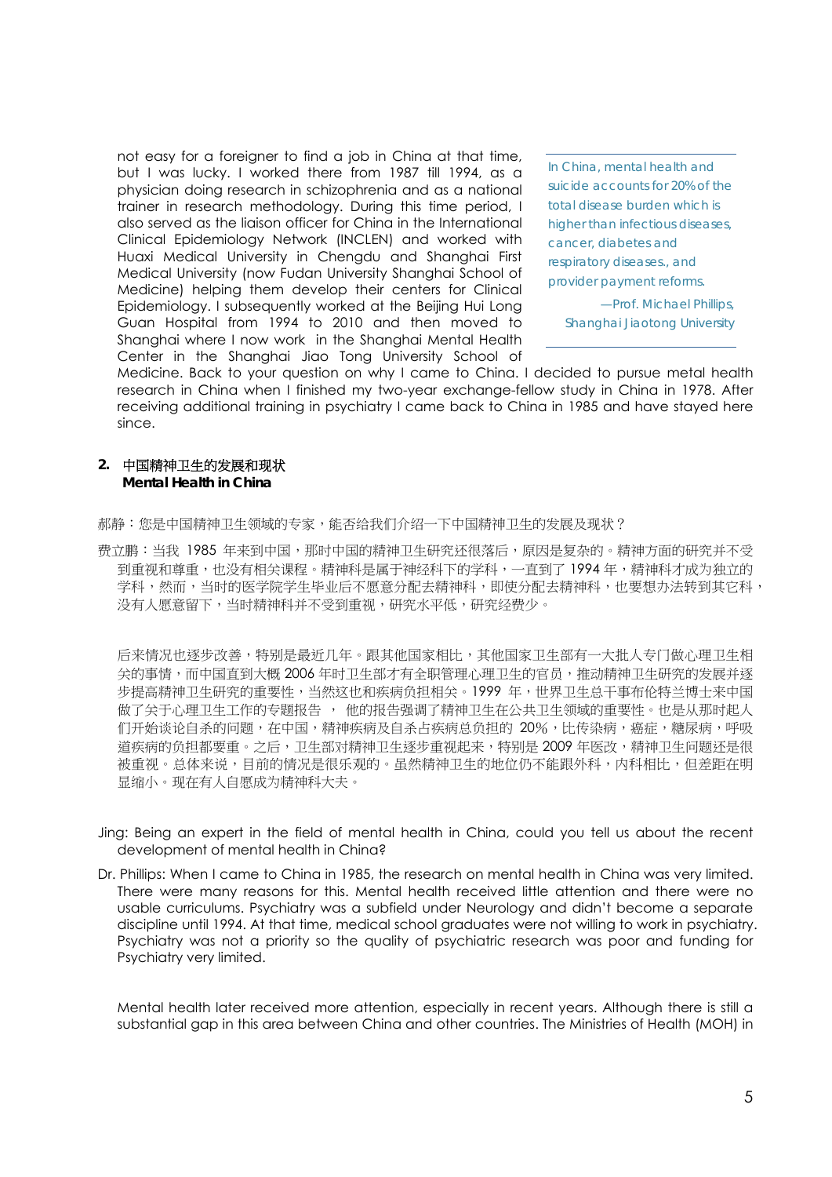not easy for a foreigner to find a job in China at that time, but I was lucky. I worked there from 1987 till 1994, as a physician doing research in schizophrenia and as a national trainer in research methodology. During this time period, I also served as the liaison officer for China in the International Clinical Epidemiology Network (INCLEN) and worked with Huaxi Medical University in Chengdu and Shanghai First Medical University (now Fudan University Shanghai School of Medicine) helping them develop their centers for Clinical Epidemiology. I subsequently worked at the Beijing Hui Long Guan Hospital from 1994 to 2010 and then moved to Shanghai where I now work in the Shanghai Mental Health Center in the Shanghai Jiao Tong University School of

*In China, mental health and suicide accounts for 20% of the total disease burden which is higher than infectious diseases, cancer, diabetes and respiratory diseases., and provider payment reforms.* 

*—Prof. Michael Phillips, Shanghai Jiaotong University* 

Medicine. Back to your question on why I came to China. I decided to pursue metal health research in China when I finished my two-year exchange-fellow study in China in 1978. After receiving additional training in psychiatry I came back to China in 1985 and have stayed here since.

## **2.** 中国精神卫生的发展和现状 **Mental Health in China**

郝静:您是中国精神卫生领域的专家,能否给我们介绍一下中国精神卫生的发展及现状?

费立鹏:当我 1985 年来到中国,那时中国的精神卫生研究还很落后,原因是复杂的。精神方面的研究并不受 到重视和尊重,也没有相关课程。精神科是属于神经科下的学科,一直到了 1994 年,精神科才成为独立的 学科,然而,当时的医学院学生毕业后不愿意分配去精神科,即使分配去精神科,也要想办法转到其它科, 没有人愿意留下,当时精神科并不受到重视,研究水平低,研究经费少。

后来情况也逐步改善,特别是最近几年。跟其他国家相比,其他国家卫生部有一大批人专门做心理卫生相 关的事情,而中国直到大概 2006 年时卫生部才有全职管理心理卫生的官员,推动精神卫生研究的发展并逐 步提高精神卫生研究的重要性,当然这也和疾病负担相关。1999 年,世界卫生总干事布伦特兰博士来中国 做了关于心理卫生工作的专题报告 , 他的报告强调了精神卫生在公共卫生领域的重要性。也是从那时起人 们开始谈论自杀的问题,在中国,精神疾病及自杀占疾病总负担的 20%,比传染病,癌症,糖尿病,呼吸 道疾病的负担都要重。之后,卫生部对精神卫生逐步重视起来,特别是 2009 年医改,精神卫生问题还是很 被重视。总体来说,目前的情况是很乐观的。虽然精神卫生的地位仍不能跟外科,内科相比,但差距在明 显缩小。现在有人自愿成为精神科大夫。

- Jing: Being an expert in the field of mental health in China, could you tell us about the recent development of mental health in China?
- Dr. Phillips: When I came to China in 1985, the research on mental health in China was very limited. There were many reasons for this. Mental health received little attention and there were no usable curriculums. Psychiatry was a subfield under Neurology and didn't become a separate discipline until 1994. At that time, medical school graduates were not willing to work in psychiatry. Psychiatry was not a priority so the quality of psychiatric research was poor and funding for Psychiatry very limited.

Mental health later received more attention, especially in recent years. Although there is still a substantial gap in this area between China and other countries. The Ministries of Health (MOH) in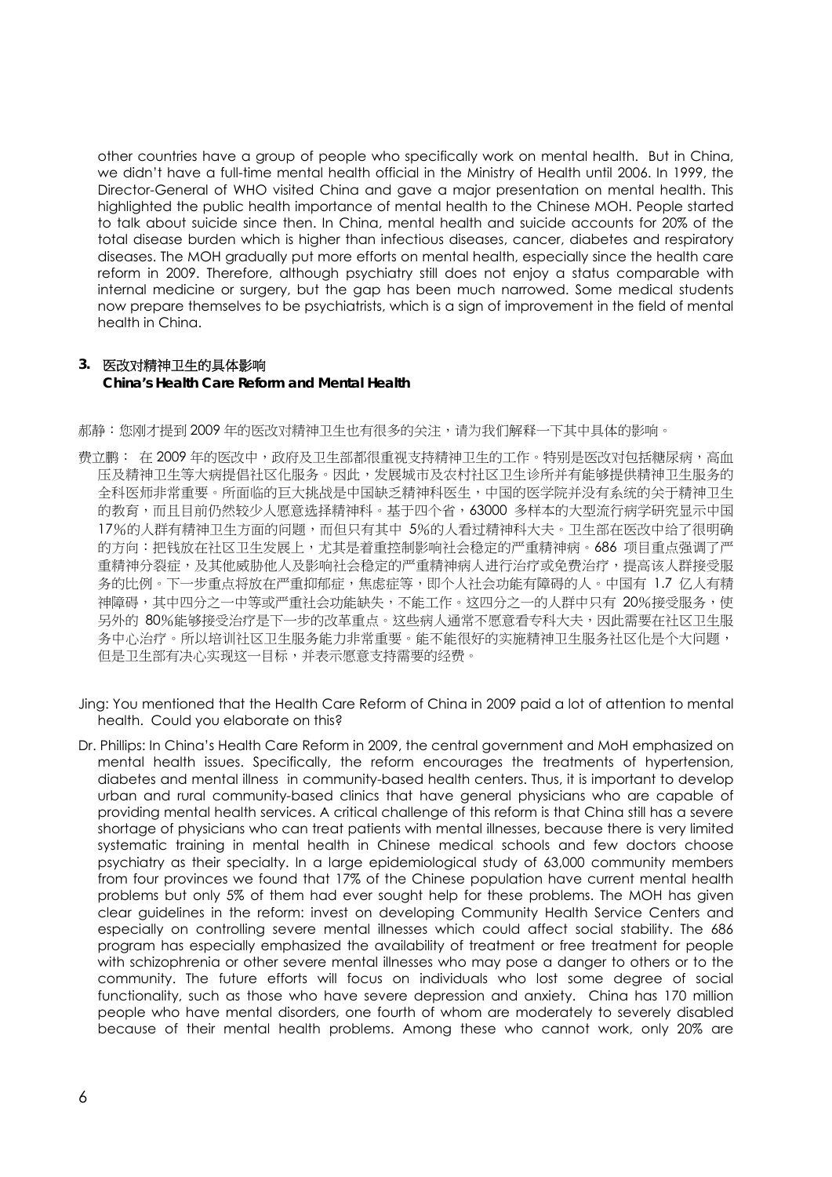other countries have a group of people who specifically work on mental health. But in China, we didn't have a full-time mental health official in the Ministry of Health until 2006. In 1999, the Director-General of WHO visited China and gave a major presentation on mental health. This highlighted the public health importance of mental health to the Chinese MOH. People started to talk about suicide since then. In China, mental health and suicide accounts for 20% of the total disease burden which is higher than infectious diseases, cancer, diabetes and respiratory diseases. The MOH gradually put more efforts on mental health, especially since the health care reform in 2009. Therefore, although psychiatry still does not enjoy a status comparable with internal medicine or surgery, but the gap has been much narrowed. Some medical students now prepare themselves to be psychiatrists, which is a sign of improvement in the field of mental health in China.

### **3.** 医改对精神卫生的具体影响 **China's Health Care Reform and Mental Health**

郝静:您刚才提到 2009 年的医改对精神卫生也有很多的关注,请为我们解释一下其中具体的影响。

- 费立鹏: 在 2009 年的医改中,政府及卫生部都很重视支持精神卫生的工作。特别是医改对包括糖尿病,高血 压及精神卫生等大病提倡社区化服务。因此,发展城市及农村社区卫生诊所并有能够提供精神卫生服务的 全科医师非常重要。所面临的巨大挑战是中国缺乏精神科医生,中国的医学院并没有系统的关于精神卫生 的教育,而且目前仍然较少人愿意选择精神科。基于四个省,63000 多样本的大型流行病学研究显示中国 17%的人群有精神卫生方面的问题,而但只有其中 5%的人看过精神科大夫。卫生部在医改中给了很明确 的方向:把钱放在社区卫生发展上,尤其是着重控制影响社会稳定的严重精神病。686 项目重点强调了严 重精神分裂症,及其他威胁他人及影响社会稳定的严重精神病人进行治疗或免费治疗,提高该人群接受服 务的比例。下一步重点将放在严重抑郁症,焦虑症等,即个人社会功能有障碍的人。中国有 1.7 亿人有精 神障碍,其中四分之一中等或严重社会功能缺失,不能工作。这四分之一的人群中只有 20%接受服务,使 另外的 80%能够接受治疗是下一步的改革重点。这些病人通常不愿意看专科大夫,因此需要在社区卫生服 务中心治疗。所以培训社区卫生服务能力非常重要。能不能很好的实施精神卫生服务社区化是个大问题, 但是卫生部有决心实现这一目标,并表示愿意支持需要的经费。
- Jing: You mentioned that the Health Care Reform of China in 2009 paid a lot of attention to mental health. Could you elaborate on this?
- Dr. Phillips: In China's Health Care Reform in 2009, the central government and MoH emphasized on mental health issues. Specifically, the reform encourages the treatments of hypertension, diabetes and mental illness in community-based health centers. Thus, it is important to develop urban and rural community-based clinics that have general physicians who are capable of providing mental health services. A critical challenge of this reform is that China still has a severe shortage of physicians who can treat patients with mental illnesses, because there is very limited systematic training in mental health in Chinese medical schools and few doctors choose psychiatry as their specialty. In a large epidemiological study of 63,000 community members from four provinces we found that 17% of the Chinese population have current mental health problems but only 5% of them had ever sought help for these problems. The MOH has given clear guidelines in the reform: invest on developing Community Health Service Centers and especially on controlling severe mental illnesses which could affect social stability. The 686 program has especially emphasized the availability of treatment or free treatment for people with schizophrenia or other severe mental illnesses who may pose a danger to others or to the community. The future efforts will focus on individuals who lost some degree of social functionality, such as those who have severe depression and anxiety. China has 170 million people who have mental disorders, one fourth of whom are moderately to severely disabled because of their mental health problems. Among these who cannot work, only 20% are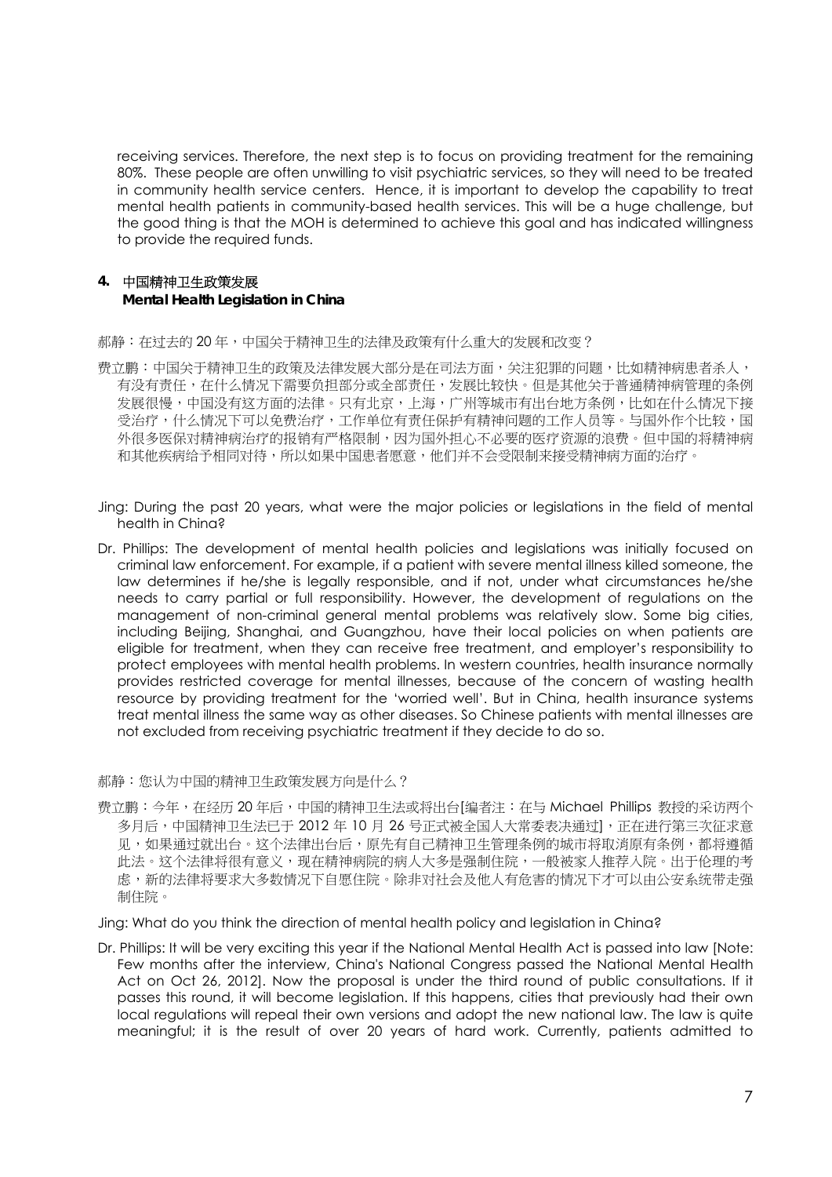receiving services. Therefore, the next step is to focus on providing treatment for the remaining 80%. These people are often unwilling to visit psychiatric services, so they will need to be treated in community health service centers. Hence, it is important to develop the capability to treat mental health patients in community-based health services. This will be a huge challenge, but the good thing is that the MOH is determined to achieve this goal and has indicated willingness to provide the required funds.

# **4.** 中国精神卫生政策发展 **Mental Health Legislation in China**

郝静:在过去的 20 年,中国关于精神卫生的法律及政策有什么重大的发展和改变?

- 费立鹏:中国关于精神卫生的政策及法律发展大部分是在司法方面,关注犯罪的问题,比如精神病患者杀人, 有没有责任,在什么情况下需要负担部分或全部责任,发展比较快。但是其他关于普通精神病管理的条例 发展很慢,中国没有这方面的法律。只有北京,上海,广州等城市有出台地方条例,比如在什么情况下接 受治疗,什么情况下可以免费治疗,工作单位有责任保护有精神问题的工作人员等。与国外作个比较,国 外很多医保对精神病治疗的报销有严格限制,因为国外担心不必要的医疗资源的浪费。但中国的将精神病 和其他疾病给予相同对待,所以如果中国患者愿意,他们并不会受限制来接受精神病方面的治疗。
- Jing: During the past 20 years, what were the major policies or legislations in the field of mental health in China?
- Dr. Phillips: The development of mental health policies and legislations was initially focused on criminal law enforcement. For example, if a patient with severe mental illness killed someone, the law determines if he/she is legally responsible, and if not, under what circumstances he/she needs to carry partial or full responsibility. However, the development of regulations on the management of non-criminal general mental problems was relatively slow. Some big cities, including Beijing, Shanghai, and Guangzhou, have their local policies on when patients are eligible for treatment, when they can receive free treatment, and employer's responsibility to protect employees with mental health problems. In western countries, health insurance normally provides restricted coverage for mental illnesses, because of the concern of wasting health resource by providing treatment for the 'worried well'. But in China, health insurance systems treat mental illness the same way as other diseases. So Chinese patients with mental illnesses are not excluded from receiving psychiatric treatment if they decide to do so.

#### 郝静:您认为中国的精神卫生政策发展方向是什么?

费立鹏:今年,在经历 20 年后,中国的精神卫生法或将出台[编者注:在与 Michael Phillips 教授的采访两个 多月后,中国精神卫生法已于 2012 年 10 月 26 号正式被全国人大常委表决通过],正在进行第三次征求意 见,如果通过就出台。这个法律出台后,原先有自己精神卫生管理条例的城市将取消原有条例,都将遵循 此法。这个法律将很有意义,现在精神病院的病人大多是强制住院,一般被家人推荐入院。出于伦理的考 虑,新的法律将要求大多数情况下自愿住院。除非对社会及他人有危害的情况下才可以由公安系统带走强 制住院。

Jing: What do you think the direction of mental health policy and legislation in China?

Dr. Phillips: It will be very exciting this year if the National Mental Health Act is passed into law [Note: Few months after the interview, China's National Congress passed the National Mental Health Act on Oct 26, 2012]. Now the proposal is under the third round of public consultations. If it passes this round, it will become legislation. If this happens, cities that previously had their own local regulations will repeal their own versions and adopt the new national law. The law is quite meaningful; it is the result of over 20 years of hard work. Currently, patients admitted to